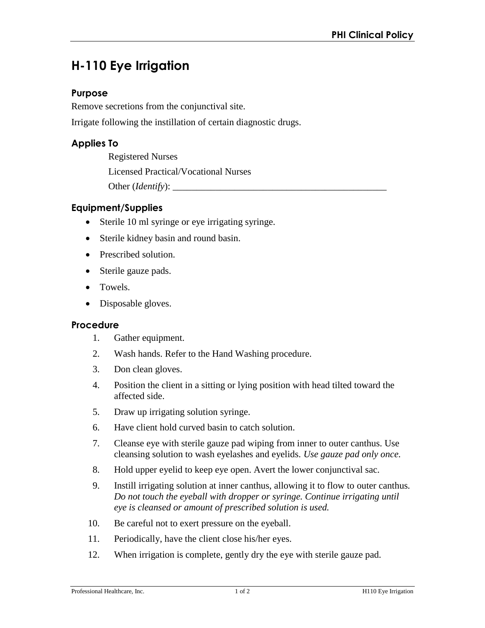# **H-110 Eye Irrigation**

## **Purpose**

Remove secretions from the conjunctival site.

Irrigate following the instillation of certain diagnostic drugs.

## **Applies To**

Registered Nurses Licensed Practical/Vocational Nurses Other (*Identify*): \_\_\_\_\_\_\_\_\_\_\_\_\_\_\_\_\_\_\_\_\_\_\_\_\_\_\_\_\_\_\_\_\_\_\_\_\_\_\_\_\_\_\_\_\_

## **Equipment/Supplies**

- Sterile 10 ml syringe or eye irrigating syringe.
- Sterile kidney basin and round basin.
- Prescribed solution.
- Sterile gauze pads.
- Towels.
- Disposable gloves.

#### **Procedure**

- 1. Gather equipment.
- 2. Wash hands. Refer to the Hand Washing procedure.
- 3. Don clean gloves.
- 4. Position the client in a sitting or lying position with head tilted toward the affected side.
- 5. Draw up irrigating solution syringe.
- 6. Have client hold curved basin to catch solution.
- 7. Cleanse eye with sterile gauze pad wiping from inner to outer canthus. Use cleansing solution to wash eyelashes and eyelids. *Use gauze pad only once.*
- 8. Hold upper eyelid to keep eye open. Avert the lower conjunctival sac.
- 9. Instill irrigating solution at inner canthus, allowing it to flow to outer canthus*. Do not touch the eyeball with dropper or syringe. Continue irrigating until eye is cleansed or amount of prescribed solution is used.*
- 10. Be careful not to exert pressure on the eyeball.
- 11. Periodically, have the client close his/her eyes.
- 12. When irrigation is complete, gently dry the eye with sterile gauze pad.